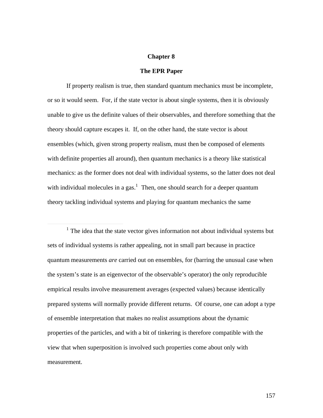# **Chapter 8**

#### **The EPR Paper**

If property realism is true, then standard quantum mechanics must be incomplete, or so it would seem. For, if the state vector is about single systems, then it is obviously unable to give us the definite values of their observables, and therefore something that the theory should capture escapes it. If, on the other hand, the state vector is about ensembles (which, given strong property realism, must then be composed of elements with definite properties all around), then quantum mechanics is a theory like statistical mechanics: as the former does not deal with individual systems, so the latter does not deal with individual molecules in a gas.<sup>1</sup> Then, one should search for a deeper quantum theory tackling individual systems and playing for quantum mechanics the same

<sup>1</sup> The idea that the state vector gives information not about individual systems but sets of individual systems is rather appealing, not in small part because in practice quantum measurements *are* carried out on ensembles, for (barring the unusual case when the system's state is an eigenvector of the observable's operator) the only reproducible empirical results involve measurement averages (expected values) because identically prepared systems will normally provide different returns. Of course, one can adopt a type of ensemble interpretation that makes no realist assumptions about the dynamic properties of the particles, and with a bit of tinkering is therefore compatible with the view that when superposition is involved such properties come about only with measurement.

 $\overline{a}$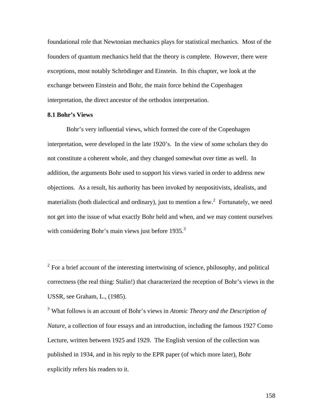foundational role that Newtonian mechanics plays for statistical mechanics. Most of the founders of quantum mechanics held that the theory is complete. However, there were exceptions, most notably Schrödinger and Einstein. In this chapter, we look at the exchange between Einstein and Bohr, the main force behind the Copenhagen interpretation, the direct ancestor of the orthodox interpretation.

# **8.1 Bohr's Views**

 $\overline{a}$ 

Bohr's very influential views, which formed the core of the Copenhagen interpretation, were developed in the late 1920's. In the view of some scholars they do not constitute a coherent whole, and they changed somewhat over time as well. In addition, the arguments Bohr used to support his views varied in order to address new objections. As a result, his authority has been invoked by neopositivists, idealists, and materialists (both dialectical and ordinary), just to mention a few. $2$  Fortunately, we need not get into the issue of what exactly Bohr held and when, and we may content ourselves with considering Bohr's main views just before  $1935$ <sup>3</sup>

3 What follows is an account of Bohr's views in *Atomic Theory and the Description of Nature*, a collection of four essays and an introduction, including the famous 1927 Como Lecture, written between 1925 and 1929. The English version of the collection was published in 1934, and in his reply to the EPR paper (of which more later), Bohr explicitly refers his readers to it.

 $2^2$  For a brief account of the interesting intertwining of science, philosophy, and political correctness (the real thing: Stalin!) that characterized the reception of Bohr's views in the USSR, see Graham, L., (1985).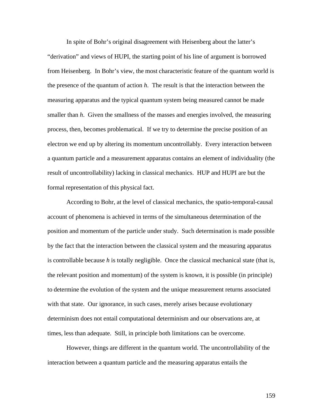In spite of Bohr's original disagreement with Heisenberg about the latter's "derivation" and views of HUPI, the starting point of his line of argument is borrowed from Heisenberg. In Bohr's view, the most characteristic feature of the quantum world is the presence of the quantum of action *h*. The result is that the interaction between the measuring apparatus and the typical quantum system being measured cannot be made smaller than *h*. Given the smallness of the masses and energies involved, the measuring process, then, becomes problematical. If we try to determine the precise position of an electron we end up by altering its momentum uncontrollably. Every interaction between a quantum particle and a measurement apparatus contains an element of individuality (the result of uncontrollability) lacking in classical mechanics. HUP and HUPI are but the formal representation of this physical fact.

According to Bohr, at the level of classical mechanics, the spatio-temporal-causal account of phenomena is achieved in terms of the simultaneous determination of the position and momentum of the particle under study. Such determination is made possible by the fact that the interaction between the classical system and the measuring apparatus is controllable because *h* is totally negligible. Once the classical mechanical state (that is, the relevant position and momentum) of the system is known, it is possible (in principle) to determine the evolution of the system and the unique measurement returns associated with that state. Our ignorance, in such cases, merely arises because evolutionary determinism does not entail computational determinism and our observations are, at times, less than adequate. Still, in principle both limitations can be overcome.

However, things are different in the quantum world. The uncontrollability of the interaction between a quantum particle and the measuring apparatus entails the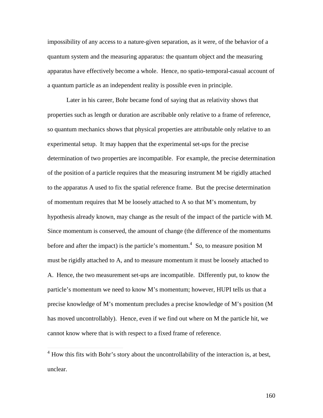impossibility of any access to a nature-given separation, as it were, of the behavior of a quantum system and the measuring apparatus: the quantum object and the measuring apparatus have effectively become a whole. Hence, no spatio-temporal-casual account of a quantum particle as an independent reality is possible even in principle.

Later in his career, Bohr became fond of saying that as relativity shows that properties such as length or duration are ascribable only relative to a frame of reference, so quantum mechanics shows that physical properties are attributable only relative to an experimental setup. It may happen that the experimental set-ups for the precise determination of two properties are incompatible. For example, the precise determination of the position of a particle requires that the measuring instrument M be rigidly attached to the apparatus A used to fix the spatial reference frame. But the precise determination of momentum requires that M be loosely attached to A so that M's momentum, by hypothesis already known, may change as the result of the impact of the particle with M. Since momentum is conserved, the amount of change (the difference of the momentums before and after the impact) is the particle's momentum.<sup>4</sup> So, to measure position M must be rigidly attached to A, and to measure momentum it must be loosely attached to A. Hence, the two measurement set-ups are incompatible. Differently put, to know the particle's momentum we need to know M's momentum; however, HUPI tells us that a precise knowledge of M's momentum precludes a precise knowledge of M's position (M has moved uncontrollably). Hence, even if we find out where on M the particle hit, we cannot know where that is with respect to a fixed frame of reference.

 $\overline{a}$ 

<sup>&</sup>lt;sup>4</sup> How this fits with Bohr's story about the uncontrollability of the interaction is, at best, unclear.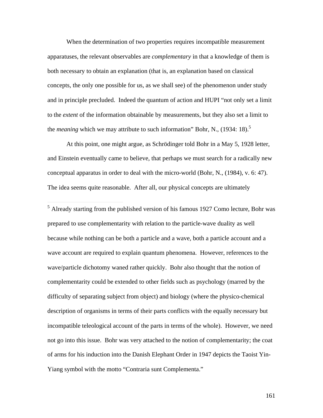When the determination of two properties requires incompatible measurement apparatuses, the relevant observables are *complementary* in that a knowledge of them is both necessary to obtain an explanation (that is, an explanation based on classical concepts, the only one possible for us, as we shall see) of the phenomenon under study and in principle precluded. Indeed the quantum of action and HUPI "not only set a limit to the *extent* of the information obtainable by measurements, but they also set a limit to the *meaning* which we may attribute to such information" Bohr, N., (1934: 18).<sup>5</sup>

At this point, one might argue, as Schrödinger told Bohr in a May 5, 1928 letter, and Einstein eventually came to believe, that perhaps we must search for a radically new conceptual apparatus in order to deal with the micro-world (Bohr, N., (1984), v. 6: 47). The idea seems quite reasonable. After all, our physical concepts are ultimately

<sup>5</sup> Already starting from the published version of his famous 1927 Como lecture, Bohr was prepared to use complementarity with relation to the particle-wave duality as well because while nothing can be both a particle and a wave, both a particle account and a wave account are required to explain quantum phenomena. However, references to the wave/particle dichotomy waned rather quickly. Bohr also thought that the notion of complementarity could be extended to other fields such as psychology (marred by the difficulty of separating subject from object) and biology (where the physico-chemical description of organisms in terms of their parts conflicts with the equally necessary but incompatible teleological account of the parts in terms of the whole). However, we need not go into this issue. Bohr was very attached to the notion of complementarity; the coat of arms for his induction into the Danish Elephant Order in 1947 depicts the Taoist Yin-Yiang symbol with the motto "Contraria sunt Complementa."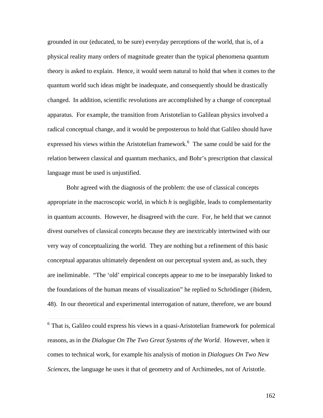grounded in our (educated, to be sure) everyday perceptions of the world, that is, of a physical reality many orders of magnitude greater than the typical phenomena quantum theory is asked to explain. Hence, it would seem natural to hold that when it comes to the quantum world such ideas might be inadequate, and consequently should be drastically changed. In addition, scientific revolutions are accomplished by a change of conceptual apparatus. For example, the transition from Aristotelian to Galilean physics involved a radical conceptual change, and it would be preposterous to hold that Galileo should have expressed his views within the Aristotelian framework.<sup>6</sup> The same could be said for the relation between classical and quantum mechanics, and Bohr's prescription that classical language must be used is unjustified.

Bohr agreed with the diagnosis of the problem: the use of classical concepts appropriate in the macroscopic world, in which *h* is negligible, leads to complementarity in quantum accounts. However, he disagreed with the cure. For, he held that we cannot divest ourselves of classical concepts because they are inextricably intertwined with our very way of conceptualizing the world. They are nothing but a refinement of this basic conceptual apparatus ultimately dependent on our perceptual system and, as such, they are ineliminable. "The 'old' empirical concepts appear to me to be inseparably linked to the foundations of the human means of visualization" he replied to Schrödinger (ibidem, 48). In our theoretical and experimental interrogation of nature, therefore, we are bound

 $\overline{a}$ 

<sup>&</sup>lt;sup>6</sup> That is, Galileo could express his views in a quasi-Aristotelian framework for polemical reasons, as in the *Dialogue On The Two Great Systems of the World*. However, when it comes to technical work, for example his analysis of motion in *Dialogues On Two New Sciences*, the language he uses it that of geometry and of Archimedes, not of Aristotle.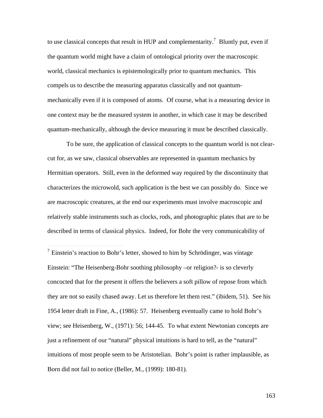to use classical concepts that result in HUP and complementarity.<sup>7</sup> Bluntly put, even if the quantum world might have a claim of ontological priority over the macroscopic world, classical mechanics is epistemologically prior to quantum mechanics. This compels us to describe the measuring apparatus classically and not quantummechanically even if it is composed of atoms. Of course, what is a measuring device in one context may be the measured system in another, in which case it may be described quantum-mechanically, although the device measuring it must be described classically.

To be sure, the application of classical concepts to the quantum world is not clearcut for, as we saw, classical observables are represented in quantum mechanics by Hermitian operators. Still, even in the deformed way required by the discontinuity that characterizes the microwold, such application is the best we can possibly do. Since we are macroscopic creatures, at the end our experiments must involve macroscopic and relatively stable instruments such as clocks, rods, and photographic plates that are to be described in terms of classical physics. Indeed, for Bohr the very communicability of

 $\overline{a}$ 

 $7$  Einstein's reaction to Bohr's letter, showed to him by Schrödinger, was vintage Einstein: "The Heisenberg-Bohr soothing philosophy –or religion?- is so cleverly concocted that for the present it offers the believers a soft pillow of repose from which they are not so easily chased away. Let us therefore let them rest." (ibidem, 51). See his 1954 letter draft in Fine, A., (1986): 57. Heisenberg eventually came to hold Bohr's view; see Heisenberg, W., (1971): 56; 144-45. To what extent Newtonian concepts are just a refinement of our "natural" physical intuitions is hard to tell, as the "natural" intuitions of most people seem to be Aristotelian. Bohr's point is rather implausible, as Born did not fail to notice (Beller, M., (1999): 180-81).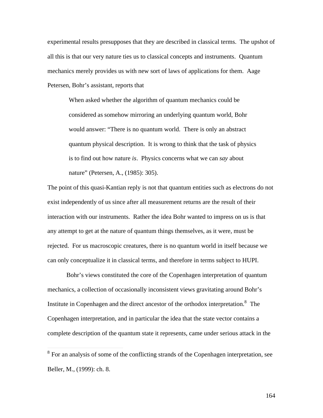experimental results presupposes that they are described in classical terms. The upshot of all this is that our very nature ties us to classical concepts and instruments. Quantum mechanics merely provides us with new sort of laws of applications for them. Aage Petersen, Bohr's assistant, reports that

When asked whether the algorithm of quantum mechanics could be considered as somehow mirroring an underlying quantum world, Bohr would answer: "There is no quantum world. There is only an abstract quantum physical description. It is wrong to think that the task of physics is to find out how nature *is*. Physics concerns what we can *say* about nature" (Petersen, A., (1985): 305).

The point of this quasi-Kantian reply is not that quantum entities such as electrons do not exist independently of us since after all measurement returns are the result of their interaction with our instruments. Rather the idea Bohr wanted to impress on us is that any attempt to get at the nature of quantum things themselves, as it were, must be rejected. For us macroscopic creatures, there is no quantum world in itself because we can only conceptualize it in classical terms, and therefore in terms subject to HUPI.

Bohr's views constituted the core of the Copenhagen interpretation of quantum mechanics, a collection of occasionally inconsistent views gravitating around Bohr's Institute in Copenhagen and the direct ancestor of the orthodox interpretation.<sup>8</sup> The Copenhagen interpretation, and in particular the idea that the state vector contains a complete description of the quantum state it represents, came under serious attack in the

<sup>&</sup>lt;sup>8</sup> For an analysis of some of the conflicting strands of the Copenhagen interpretation, see Beller, M., (1999): ch. 8.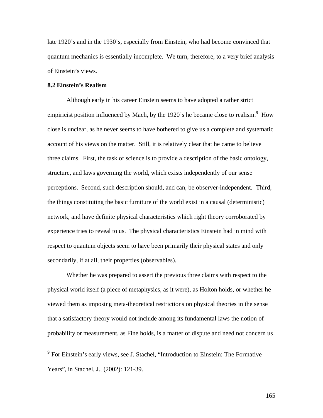late 1920's and in the 1930's, especially from Einstein, who had become convinced that quantum mechanics is essentially incomplete. We turn, therefore, to a very brief analysis of Einstein's views.

# **8.2 Einstein's Realism**

Although early in his career Einstein seems to have adopted a rather strict empiricist position influenced by Mach, by the 1920's he became close to realism.<sup>9</sup> How close is unclear, as he never seems to have bothered to give us a complete and systematic account of his views on the matter. Still, it is relatively clear that he came to believe three claims. First, the task of science is to provide a description of the basic ontology, structure, and laws governing the world, which exists independently of our sense perceptions. Second, such description should, and can, be observer-independent. Third, the things constituting the basic furniture of the world exist in a causal (deterministic) network, and have definite physical characteristics which right theory corroborated by experience tries to reveal to us. The physical characteristics Einstein had in mind with respect to quantum objects seem to have been primarily their physical states and only secondarily, if at all, their properties (observables).

Whether he was prepared to assert the previous three claims with respect to the physical world itself (a piece of metaphysics, as it were), as Holton holds, or whether he viewed them as imposing meta-theoretical restrictions on physical theories in the sense that a satisfactory theory would not include among its fundamental laws the notion of probability or measurement, as Fine holds, is a matter of dispute and need not concern us

<sup>&</sup>lt;sup>9</sup> For Einstein's early views, see J. Stachel, "Introduction to Einstein: The Formative Years", in Stachel, J., (2002): 121-39.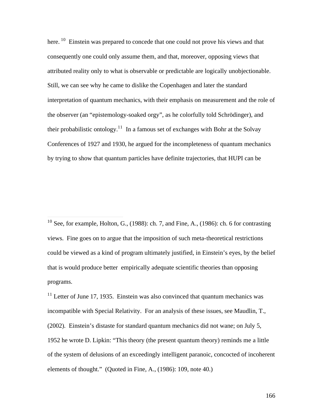here. <sup>10</sup> Einstein was prepared to concede that one could not prove his views and that consequently one could only assume them, and that, moreover, opposing views that attributed reality only to what is observable or predictable are logically unobjectionable. Still, we can see why he came to dislike the Copenhagen and later the standard interpretation of quantum mechanics, with their emphasis on measurement and the role of the observer (an "epistemology-soaked orgy", as he colorfully told Schrödinger), and their probabilistic ontology.<sup>11</sup> In a famous set of exchanges with Bohr at the Solvay Conferences of 1927 and 1930, he argued for the incompleteness of quantum mechanics by trying to show that quantum particles have definite trajectories, that HUPI can be

<sup>10</sup> See, for example, Holton, G., (1988): ch. 7, and Fine, A., (1986): ch. 6 for contrasting views. Fine goes on to argue that the imposition of such meta-theoretical restrictions could be viewed as a kind of program ultimately justified, in Einstein's eyes, by the belief that is would produce better empirically adequate scientific theories than opposing programs.

 $\overline{a}$ 

 $11$  Letter of June 17, 1935. Einstein was also convinced that quantum mechanics was incompatible with Special Relativity. For an analysis of these issues, see Maudlin, T., (2002). Einstein's distaste for standard quantum mechanics did not wane; on July 5, 1952 he wrote D. Lipkin: "This theory (the present quantum theory) reminds me a little of the system of delusions of an exceedingly intelligent paranoic, concocted of incoherent elements of thought." (Quoted in Fine, A., (1986): 109, note 40.)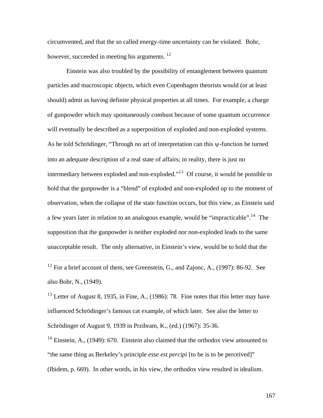circumvented, and that the so called energy-time uncertainty can be violated. Bohr, however, succeeded in meeting his arguments.  $^{12}$ 

Einstein was also troubled by the possibility of entanglement between quantum particles and macroscopic objects, which even Copenhagen theorists would (or at least should) admit as having definite physical properties at all times. For example, a charge of gunpowder which may spontaneously combust because of some quantum occurrence will eventually be described as a superposition of exploded and non-exploded systems. As he told Schrödinger, "Through no art of interpretation can this  $\psi$ -function be turned into an adequate description of a real state of affairs; in reality, there is just no intermediary between exploded and non-exploded."<sup>13</sup> Of course, it would be possible to hold that the gunpowder is a "blend" of exploded and non-exploded up to the moment of observation, when the collapse of the state function occurs, but this view, as Einstein said a few years later in relation to an analogous example, would be "impracticable".<sup>14</sup> The supposition that the gunpowder is neither exploded nor non-exploded leads to the same unacceptable result. The only alternative, in Einstein's view, would be to hold that the

 $\overline{a}$ 

 $13$  Letter of August 8, 1935, in Fine, A., (1986): 78. Fine notes that this letter may have influenced Schrödinger's famous cat example, of which later. See also the letter to Schrödinger of August 9, 1939 in Przibram, K., (ed.) (1967): 35-36.

<sup>14</sup> Einstein, A., (1949): 670. Einstein also claimed that the orthodox view amounted to "the same thing as Berkeley's principle *esse est percipi* [to be is to be perceived]" (Ibidem, p. 669). In other words, in his view, the orthodox view resulted in idealism.

 $12$  For a brief account of them, see Greenstein, G., and Zajonc, A., (1997): 86-92. See also Bohr, N., (1949).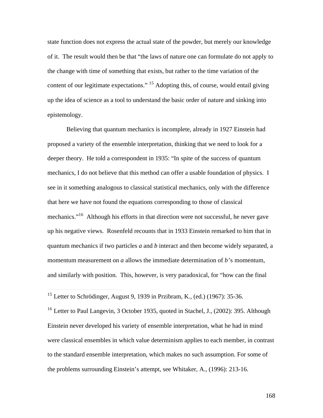state function does not express the actual state of the powder, but merely our knowledge of it. The result would then be that "the laws of nature one can formulate do not apply to the change with time of something that exists, but rather to the time variation of the content of our legitimate expectations." <sup>15</sup> Adopting this, of course, would entail giving up the idea of science as a tool to understand the basic order of nature and sinking into epistemology.

Believing that quantum mechanics is incomplete, already in 1927 Einstein had proposed a variety of the ensemble interpretation, thinking that we need to look for a deeper theory. He told a correspondent in 1935: "In spite of the success of quantum mechanics, I do not believe that this method can offer a usable foundation of physics. I see in it something analogous to classical statistical mechanics, only with the difference that here we have not found the equations corresponding to those of classical mechanics."<sup>16</sup> Although his efforts in that direction were not successful, he never gave up his negative views. Rosenfeld recounts that in 1933 Einstein remarked to him that in quantum mechanics if two particles *a* and *b* interact and then become widely separated, a momentum measurement on *a* allows the immediate determination of *b*'s momentum, and similarly with position. This, however, is very paradoxical, for "how can the final

 $\overline{a}$ 

 $15$  Letter to Schrödinger, August 9, 1939 in Przibram, K., (ed.) (1967): 35-36.

<sup>&</sup>lt;sup>16</sup> Letter to Paul Langevin, 3 October 1935, quoted in Stachel, J., (2002): 395. Although Einstein never developed his variety of ensemble interpretation, what he had in mind were classical ensembles in which value determinism applies to each member, in contrast to the standard ensemble interpretation, which makes no such assumption. For some of the problems surrounding Einstein's attempt, see Whitaker, A., (1996): 213-16.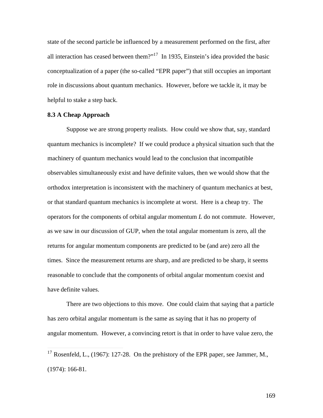state of the second particle be influenced by a measurement performed on the first, after all interaction has ceased between them?"<sup>17</sup> In 1935, Einstein's idea provided the basic conceptualization of a paper (the so-called "EPR paper") that still occupies an important role in discussions about quantum mechanics. However, before we tackle it, it may be helpful to stake a step back.

# **8.3 A Cheap Approach**

 $\overline{a}$ 

Suppose we are strong property realists. How could we show that, say, standard quantum mechanics is incomplete? If we could produce a physical situation such that the machinery of quantum mechanics would lead to the conclusion that incompatible observables simultaneously exist and have definite values, then we would show that the orthodox interpretation is inconsistent with the machinery of quantum mechanics at best, or that standard quantum mechanics is incomplete at worst. Here is a cheap try. The operators for the components of orbital angular momentum *L* do not commute. However, as we saw in our discussion of GUP, when the total angular momentum is zero, all the returns for angular momentum components are predicted to be (and are) zero all the times. Since the measurement returns are sharp, and are predicted to be sharp, it seems reasonable to conclude that the components of orbital angular momentum coexist and have definite values.

There are two objections to this move. One could claim that saying that a particle has zero orbital angular momentum is the same as saying that it has no property of angular momentum. However, a convincing retort is that in order to have value zero, the

<sup>&</sup>lt;sup>17</sup> Rosenfeld, L., (1967): 127-28. On the prehistory of the EPR paper, see Jammer, M., (1974): 166-81.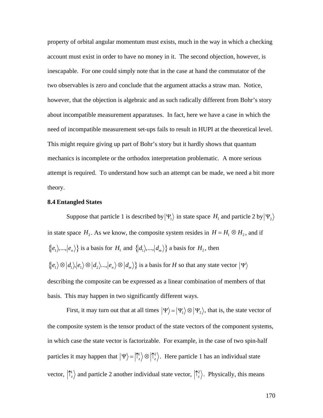property of orbital angular momentum must exists, much in the way in which a checking account must exist in order to have no money in it. The second objection, however, is inescapable. For one could simply note that in the case at hand the commutator of the two observables is zero and conclude that the argument attacks a straw man. Notice, however, that the objection is algebraic and as such radically different from Bohr's story about incompatible measurement apparatuses. In fact, here we have a case in which the need of incompatible measurement set-ups fails to result in HUPI at the theoretical level. This might require giving up part of Bohr's story but it hardly shows that quantum mechanics is incomplete or the orthodox interpretation problematic. A more serious attempt is required. To understand how such an attempt can be made, we need a bit more theory.

#### **8.4 Entangled States**

Suppose that particle 1 is described by  $|\Psi_1\rangle$  in state space  $H_1$  and particle 2 by  $|\Psi_2\rangle$  $\{|e_1\rangle, ..., |e_n\rangle\}$  is a basis for  $H_1$  and  $\{|d_1\rangle, ..., |d_m\rangle\}$  a basis for  $H_2$ , then in state space  $H_2$ . As we know, the composite system resides in  $H = H_1 \otimes H_2$ , and if  $\mathbf{r}^{\text{th}}$  $\{ |e_1\rangle \otimes |d_1\rangle, |e_1\rangle \otimes |d_2\rangle, ..., |e_n\rangle \otimes |d_m\rangle \}$  is a basis for *H* so that any state vector  $|\Psi\rangle$ describing the composite can be expressed as a linear combination of members of that basis. This may happen in two significantly different ways.

First, it may turn out that at all times  $|\Psi\rangle = |\Psi_1\rangle \otimes |\Psi_2\rangle$ , that is, the state vector of in which case the state vector is factorizable. For example, in the case of two spin-half the composite system is the tensor product of the state vectors of the component systems, particles it may happen that  $|\Psi\rangle = |\hat{\Gamma}_z\rangle \otimes |\hat{\Gamma}_z\rangle$ . Here particle 1 has an individual state vector,  $\langle \hat{\Gamma}_z \rangle$  and particle 2 another individual state vector,  $\langle \hat{\Gamma}_z \rangle$ . Physically, this means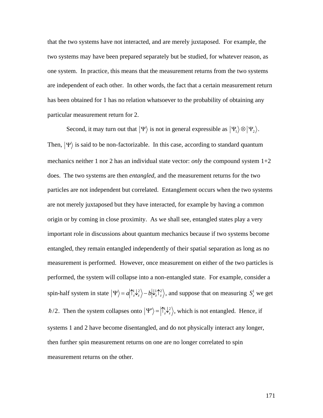that the two systems have not interacted, and are merely juxtaposed. For example, the two systems may have been prepared separately but be studied, for whatever reason, as one system. In practice, this means that the measurement returns from the two systems are independent of each other. In other words, the fact that a certain measurement return has been obtained for 1 has no relation whatsoever to the probability of obtaining any particular measurement return for 2.

Second, it may turn out that  $|\Psi\rangle$  is not in general expressible as  $|\Psi_1\rangle \otimes |\Psi_2\rangle$ . † † Then,  $|\Psi\rangle$  is said to be non-factorizable. In this case, according to standard quantum † does. The two systems are then *entangled*, and the measurement returns for the two mechanics neither 1 nor 2 has an individual state vector: *only* the compound system 1+2 particles are not independent but correlated. Entanglement occurs when the two systems are not merely juxtaposed but they have interacted, for example by having a common origin or by coming in close proximity. As we shall see, entangled states play a very important role in discussions about quantum mechanics because if two systems become entangled, they remain entangled independently of their spatial separation as long as no measurement is performed. However, once measurement on either of the two particles is performed, the system will collapse into a non-entangled state. For example, consider a spin-half system in state  $|\Psi\rangle = a|\Upsilon_z \psi_z \rangle - b|\psi_z \Upsilon_z \rangle$ , and suppose that on measuring  $S_z^1$  we get † †  $\hbar/2$ . Then the system collapses onto  $|\Psi'\rangle = |\hat{\Gamma}_z^{\perp 2}\rangle$ , which is not entangled. Hence, if then further spin measurement returns on one are no longer correlated to spin systems 1 and 2 have become disentangled, and do not physically interact any longer, measurement returns on the other.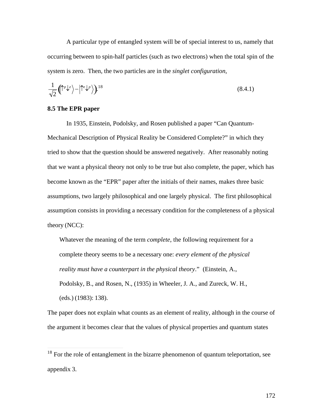A particular type of entangled system will be of special interest to us, namely that occurring between to spin-half particles (such as two electrons) when the total spin of the system is zero. Then, the two particles are in the *singlet configuration*,

$$
\frac{1}{\sqrt{2}}\left(\uparrow^p \downarrow^e\right) - \left|\uparrow^e \downarrow^p\right\rangle\right)^{18} \tag{8.4.1}
$$

# **8.5 The EPR paper**

 $\overline{a}$ 

In 1935, Einstein, Podolsky, and Rosen published a paper "Can Quantum-Mechanical Description of Physical Reality be Considered Complete?" in which they tried to show that the question should be answered negatively. After reasonably noting that we want a physical theory not only to be true but also complete, the paper, which has become known as the "EPR" paper after the initials of their names, makes three basic assumptions, two largely philosophical and one largely physical. The first philosophical assumption consists in providing a necessary condition for the completeness of a physical theory (NCC):

Whatever the meaning of the term *complete*, the following requirement for a complete theory seems to be a necessary one: *every element of the physical reality must have a counterpart in the physical theory*." (Einstein, A., Podolsky, B., and Rosen, N., (1935) in Wheeler, J. A., and Zureck, W. H., (eds.) (1983): 138).

The paper does not explain what counts as an element of reality, although in the course of the argument it becomes clear that the values of physical properties and quantum states

 $18$  For the role of entanglement in the bizarre phenomenon of quantum teleportation, see appendix 3.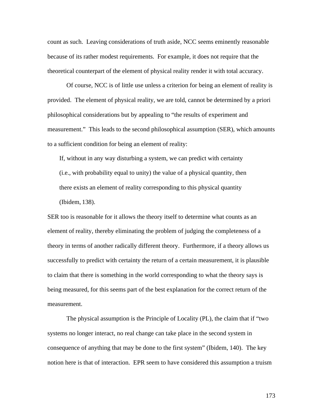count as such. Leaving considerations of truth aside, NCC seems eminently reasonable because of its rather modest requirements. For example, it does not require that the theoretical counterpart of the element of physical reality render it with total accuracy.

Of course, NCC is of little use unless a criterion for being an element of reality is provided. The element of physical reality, we are told, cannot be determined by a priori philosophical considerations but by appealing to "the results of experiment and measurement." This leads to the second philosophical assumption (SER), which amounts to a sufficient condition for being an element of reality:

If, without in any way disturbing a system, we can predict with certainty (i.e., with probability equal to unity) the value of a physical quantity, then there exists an element of reality corresponding to this physical quantity (Ibidem, 138).

SER too is reasonable for it allows the theory itself to determine what counts as an element of reality, thereby eliminating the problem of judging the completeness of a theory in terms of another radically different theory. Furthermore, if a theory allows us successfully to predict with certainty the return of a certain measurement, it is plausible to claim that there is something in the world corresponding to what the theory says is being measured, for this seems part of the best explanation for the correct return of the measurement.

The physical assumption is the Principle of Locality (PL), the claim that if "two systems no longer interact, no real change can take place in the second system in consequence of anything that may be done to the first system" (Ibidem, 140). The key notion here is that of interaction. EPR seem to have considered this assumption a truism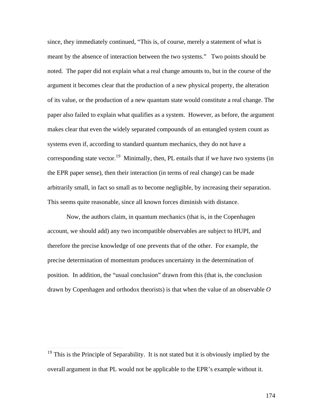since, they immediately continued, "This is, of course, merely a statement of what is meant by the absence of interaction between the two systems." Two points should be noted. The paper did not explain what a real change amounts to, but in the course of the argument it becomes clear that the production of a new physical property, the alteration of its value, or the production of a new quantum state would constitute a real change. The paper also failed to explain what qualifies as a system. However, as before, the argument makes clear that even the widely separated compounds of an entangled system count as systems even if, according to standard quantum mechanics, they do not have a corresponding state vector.<sup>19</sup> Minimally, then, PL entails that if we have two systems (in the EPR paper sense), then their interaction (in terms of real change) can be made arbitrarily small, in fact so small as to become negligible, by increasing their separation. This seems quite reasonable, since all known forces diminish with distance.

Now, the authors claim, in quantum mechanics (that is, in the Copenhagen account, we should add) any two incompatible observables are subject to HUPI, and therefore the precise knowledge of one prevents that of the other. For example, the precise determination of momentum produces uncertainty in the determination of position. In addition, the "usual conclusion" drawn from this (that is, the conclusion drawn by Copenhagen and orthodox theorists) is that when the value of an observable *O*

 $\overline{a}$ 

 $19$  This is the Principle of Separability. It is not stated but it is obviously implied by the overall argument in that PL would not be applicable to the EPR's example without it.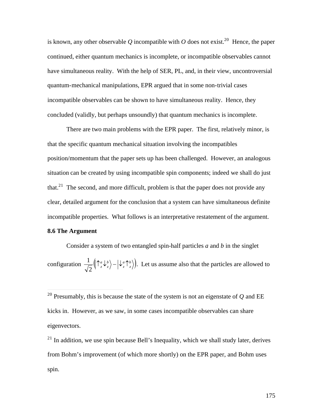is known, any other observable *Q* incompatible with *O* does not exist.<sup>20</sup> Hence, the paper continued, either quantum mechanics is incomplete, or incompatible observables cannot have simultaneous reality. With the help of SER, PL, and, in their view, uncontroversial quantum-mechanical manipulations, EPR argued that in some non-trivial cases incompatible observables can be shown to have simultaneous reality. Hence, they concluded (validly, but perhaps unsoundly) that quantum mechanics is incomplete.

There are two main problems with the EPR paper. The first, relatively minor, is that the specific quantum mechanical situation involving the incompatibles position/momentum that the paper sets up has been challenged. However, an analogous situation can be created by using incompatible spin components; indeed we shall do just that. $21$  The second, and more difficult, problem is that the paper does not provide any clear, detailed argument for the conclusion that a system can have simultaneous definite incompatible properties. What follows is an interpretative restatement of the argument. **8.6 The Argument** 

Consider a system of two entangled spin-half particles *a* and *b* in the singlet configuration  $\frac{1}{\sqrt{2}} \left( \int_{0}^{a} \left( \int_{0}^{b} \psi_{z} \right) - \left( \int_{a}^{a} \left( \int_{c}^{b} \right) \right) \right)$ . Let us assume also that the particles are allow  $2^{y^2-2}$  /  $2^{y^2-2}$  $\frac{1}{\sqrt{n}}\left(\left(\uparrow_{z}^{a}\downarrow_{z}^{b}\right)-\left(\downarrow_{z}^{a}\uparrow_{z}^{b}\right)\right)$ . Let us assume also that the particles are allowed to

 $\overline{a}$ 

 $21$  In addition, we use spin because Bell's Inequality, which we shall study later, derives from Bohm's improvement (of which more shortly) on the EPR paper, and Bohm uses spin.

<sup>20</sup> Presumably, this is because the state of the system is not an eigenstate of *Q* and EE kicks in. However, as we saw, in some cases incompatible observables can share eigenvectors.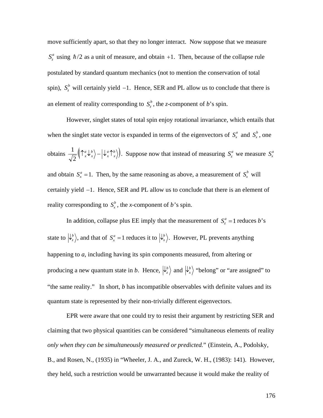move sufficiently apart, so that they no longer interact. Now suppose that we measure  $S_z^a$  using  $\hbar/2$  as a unit of measure, and obtain +1. Then, because of the collapse rule  $\cdot$   $\circ$   $\phi$   $\cdot$  11  $\cdot$  1  $\cdot$  11  $\cdot$  1  $\cdot$  1  $\cdot$  1 postulated by standard quantum mechanics (not to mention the conservation of total spin),  $S_z^b$  will certainly yield  $-1$ . Hence, SER and PL allow us to conclude that there is an element of reality corresponding to  $S_z^b$ , the *z*-component of *b*'s spin.

However, singlet states of total spin enjoy rotational invariance, which entails that when the singlet state vector is expanded in terms of the eigenvectors of  $S_x^a$  and  $S_x^b$ , one obtains  $\frac{1}{\sqrt{2}}\left( \int_{x}^{a} \left( \int_{x}^{b} \right) - \left( \int_{x}^{a} \left( \int_{x}^{b} \right) \right)$ . Suppose now that instead of measuring  $S_{z}^{a}$  w  $2^{y}$   $x^{2}$   $y^{2}$   $x^{2}$  $\frac{1}{\sqrt{2}}\left(\int_{-\infty}^a \left(\int_{x}^{b} \left(\int_{x}^{b} \right)^b \right) dx$  Suppose now that instead of measuring  $S_z^a$  we measure  $S_x^a$ and obtain  $S_x^a = 1$ . Then, by the same reasoning as above, a measurement of  $S_x^b$  will reality corresponding to  $S_x^b$ , the *x*-component of *b*'s spin. certainly yield -1. Hence, SER and PL allow us to conclude that there is an element of

In addition, collapse plus EE imply that the measurement of  $S_z^a = 1$  reduces *b*'s  $\mathbb{R}^2$ state to  $\ket{\psi_z}$ , and that of  $S_x^a = 1$  reduces it to  $\ket{\psi_x}$ . However, PL prevents anything producing a new quantum state in *b*. Hence,  $|\psi_z\rangle$  and  $|\psi_x\rangle$  "belong" or "are assigned" to happening to *a*, including having its spin components measured, from altering or quantum state is represented by their non-trivially different eigenvectors. "the same reality." In short, *b* has incompatible observables with definite values and its

† B., and Rosen, N., (1935) in "Wheeler, J. A., and Zureck, W. H., (1983): 141). However, EPR were aware that one could try to resist their argument by restricting SER and claiming that two physical quantities can be considered "simultaneous elements of reality *only when they can be simultaneously measured or predicted.*" (Einstein, A., Podolsky, they held, such a restriction would be unwarranted because it would make the reality of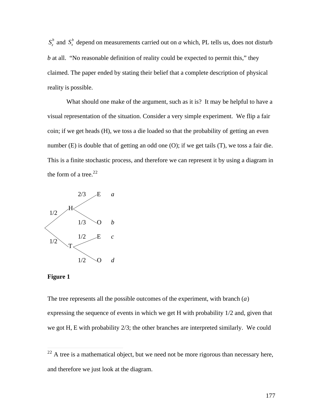$S_z^b$  and  $S_x^b$  depend on measurements carried out on *a* which, PL tells us, does not disturb *b* at all. "No reasonable definition of reality could be expected to permit this," they claimed. The paper ended by stating their belief that a complete description of physical reality is possible.

What should one make of the argument, such as it is? It may be helpful to have a visual representation of the situation. Consider a very simple experiment. We flip a fair coin; if we get heads (H), we toss a die loaded so that the probability of getting an even number (E) is double that of getting an odd one (O); if we get tails (T), we toss a fair die. This is a finite stochastic process, and therefore we can represent it by using a diagram in the form of a tree. $22$ 



## **Figure 1**

 $\overline{a}$ 

The tree represents all the possible outcomes of the experiment, with branch (*a*) expressing the sequence of events in which we get H with probability 1/2 and, given that we got H, E with probability 2/3; the other branches are interpreted similarly. We could

 $22$  A tree is a mathematical object, but we need not be more rigorous than necessary here, and therefore we just look at the diagram.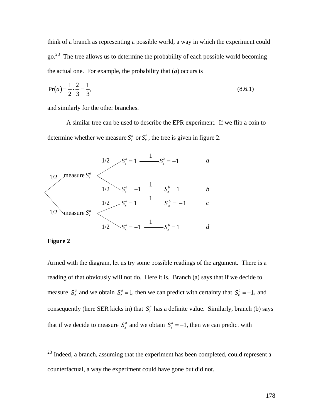think of a branch as representing a possible world, a way in which the experiment could  $\gamma$ <sub>go.</sub><sup>23</sup> The tree allows us to determine the probability of each possible world becoming the actual one. For example, the probability that (*a*) occurs is

$$
Pr(a) = \frac{1}{2} \cdot \frac{2}{3} = \frac{1}{3},
$$
\n(8.6.1)

and similarly for the other branches.

A similar tree can be used to describe the EPR experiment. If we flip a coin to determine whether we measure  $S_z^a$  or  $S_x^a$ , the tree is given in figure 2.



# **Figure 2** †

 $\overline{a}$ 

Armed with the diagram, let us try some possible readings of the argument. There is a reading of that obviously will not do. Here it is. Branch (a) says that if we decide to measure  $S_z^a$  and we obtain  $S_z^a = 1$ , then we can predict with certainty that  $S_z^b = -1$ , and that if we decide to measure  $S_z^a$  and we obtain  $S_z^a = -1$ , then we can predict with consequently (here SER kicks in) that  $S_z^b$  has a definite value. Similarly, branch (b) says

al, assuming that the experience  $2<sup>23</sup>$  Indeed, a branch, assuming that the experiment has been completed, could represent a counterfactual, a way the experiment could have gone but did not.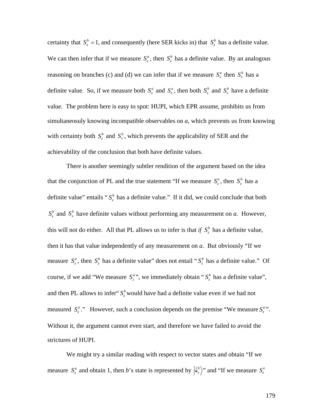certainty that  $S_z^b = 1$ , and consequently (here SER kicks in) that  $S_z^b$  has a definite value. reasoning on branches (c) and (d) we can infer that if we measure  $S_x^a$  then  $S_x^b$  has a We can then infer that if we measure  $S_z^a$ , then  $S_z^b$  has a definite value. By an analogous definite value. So, if we measure both  $S_z^a$  and  $S_x^a$ , then both  $S_z^b$  and  $S_x^b$  have a definite  $\overline{r}$ simultaneosuly knowing incompatible observables on  $a$ , which prevents us from knowing value. The problem here is easy to spot: HUPI, which EPR assume, prohibits us from with certainty both  $S_z^b$  and  $S_x^b$ , which prevents the applicability of SER and the achievability of the conclusion that both have definite values.

There is another seemingly subtler rendition of the argument based on the idea that the conjunction of PL and the true statement "If we measure  $S_z^a$ , then  $S_z^b$  has a  $S_z^b$  and  $S_x^b$  have definite values without performing any measurement on *a*. However, definite value" entails " $S_z^b$  has a definite value." If it did, we could conclude that both this will not do either. All that PL allows us to infer is that *if*  $S_z^b$  has a definite value,  $\mathbb{R}^{\mathbb{Z}^{\times}}$ measure  $S_z^a$ , then  $S_z^b$  has a definite value" does not entail " $S_z^b$  has a definite value." Of then it has that value independently of any measurement on *a*. But obviously "If we and then PL allows to infer<sup>"</sup>  $S^b_z$  would have had a definite value even if we had not course, if we add "We measure  $S_z^a$ ", we immediately obtain " $S_z^b$  has a definite value", measured  $S^a_z$ ." However, such a conclusion depends on the premise "We measure  $S^a_z$ ". Without it, the argument cannot even start, and therefore we have failed to avoid the strictures of HUPI.

We might try a similar reading with respect to vector states and obtain "If we measure  $S_z^a$  and obtain 1, then *b*'s state is represented by  $\left|\frac{1}{2}\right\rangle$ " and "If we measure  $S_x^a$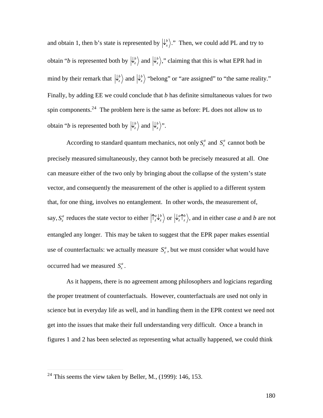and obtain 1, then b's state is represented by  $\left|\psi_x^b\right\rangle$ ." Then, we could add PL and try to  $\frac{1}{2}$ obtain "*b* is represented both by  $\ket{\psi_z}$  and  $\ket{\psi_x}$ ," claiming that this is what EPR had in  $\mathbf{r}$  ,  $\mathbf{r}$ mind by their remark that  $\ket{\psi_z}$  and  $\ket{\psi_x}$  "belong" or "are assigned" to "the same reality." spin components.<sup>24</sup> The problem here is the same as before: PL does not allow us to Finally, by adding EE we could conclude that *b* has definite simultaneous values for two obtain "*b* is represented both by  $\left|\downarrow_z^b\right>$  and  $\left|\downarrow_x^b\right>$ ".

precisely measured simultaneously, they cannot both be precisely measured at all. One According to standard quantum mechanics, not only  $S_z^a$  and  $S_x^a$  cannot both be can measure either of the two only by bringing about the collapse of the system's state vector, and consequently the measurement of the other is applied to a different system that, for one thing, involves no entanglement. In other words, the measurement of, say,  $S_z^a$  reduces the state vector to either  $\left| \int_z^a \psi_z^b \right>$  or  $\left| \psi_z^a \right>_z^b$ , and in either case *a* and *b* are not  $\mathbf{r}^{\text{th}}$ use of counterfactuals: we actually measure  $S^a_z$ , but we must consider what would have entangled any longer. This may be taken to suggest that the EPR paper makes essential occurred had we measured  $S_x^a$ .

As it happens, there is no agreement among philosophers and logicians regarding the proper treatment of counterfactuals. However, counterfactuals are used not only in science but in everyday life as well, and in handling them in the EPR context we need not get into the issues that make their full understanding very difficult. Once a branch in figures 1 and 2 has been selected as representing what actually happened, we could think

 $\overline{a}$ 

 $2<sup>24</sup>$  This seems the view taken by Beller, M., (1999): 146, 153.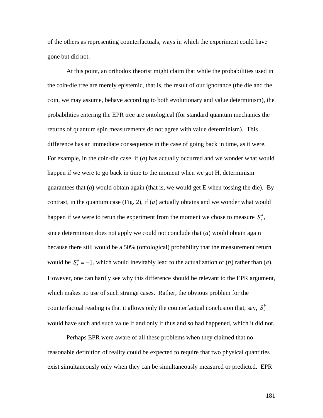of the others as representing counterfactuals, ways in which the experiment could have gone but did not.

At this point, an orthodox theorist might claim that while the probabilities used in the coin-die tree are merely epistemic, that is, the result of our ignorance (the die and the coin, we may assume, behave according to both evolutionary and value determinism), the probabilities entering the EPR tree are ontological (for standard quantum mechanics the returns of quantum spin measurements do not agree with value determinism). This difference has an immediate consequence in the case of going back in time, as it were. For example, in the coin-die case, if (*a*) has actually occurred and we wonder what would happen if we were to go back in time to the moment when we got H, determinism guarantees that  $(a)$  would obtain again (that is, we would get E when tossing the die). By contrast, in the quantum case (Fig. 2), if (*a*) actually obtains and we wonder what would happen if we were to rerun the experiment from the moment we chose to measure  $S_z^a$ , because there still would be a 50% (ontological) probability that the measurement return since determinism does not apply we could not conclude that (*a*) would obtain again would be  $S_z^a = -1$ , which would inevitably lead to the actualization of (*b*) rather than (*a*). which makes no use of such strange cases. Rather, the obvious problem for the However, one can hardly see why this difference should be relevant to the EPR argument, counterfactual reading is that it allows only the counterfactual conclusion that, say,  $S_x^b$ would have such and such value if and only if thus and so had happened, which it did not.

Perhaps EPR were aware of all these problems when they claimed that no reasonable definition of reality could be expected to require that two physical quantities exist simultaneously only when they can be simultaneously measured or predicted. EPR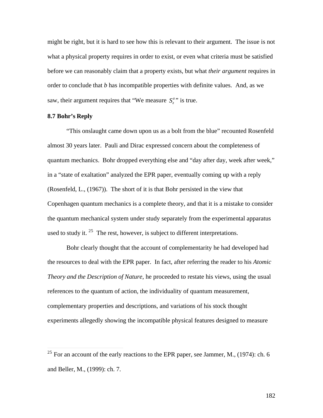might be right, but it is hard to see how this is relevant to their argument. The issue is not what a physical property requires in order to exist, or even what criteria must be satisfied before we can reasonably claim that a property exists, but what *their argument* requires in order to conclude that *b* has incompatible properties with definite values. And, as we saw, their argument requires that "We measure  $S_z^a$ " is true.

# **8.7 Bohr's Reply**

 $\overline{a}$ 

† "This onslaught came down upon us as a bolt from the blue" recounted Rosenfeld almost 30 years later. Pauli and Dirac expressed concern about the completeness of quantum mechanics. Bohr dropped everything else and "day after day, week after week," in a "state of exaltation" analyzed the EPR paper, eventually coming up with a reply (Rosenfeld, L., (1967)). The short of it is that Bohr persisted in the view that Copenhagen quantum mechanics is a complete theory, and that it is a mistake to consider the quantum mechanical system under study separately from the experimental apparatus used to study it.  $25$  The rest, however, is subject to different interpretations.

Bohr clearly thought that the account of complementarity he had developed had the resources to deal with the EPR paper. In fact, after referring the reader to his *Atomic Theory and the Description of Nature*, he proceeded to restate his views, using the usual references to the quantum of action, the individuality of quantum measurement, complementary properties and descriptions, and variations of his stock thought experiments allegedly showing the incompatible physical features designed to measure

<sup>&</sup>lt;sup>25</sup> For an account of the early reactions to the EPR paper, see Jammer, M., (1974): ch. 6 and Beller, M., (1999): ch. 7.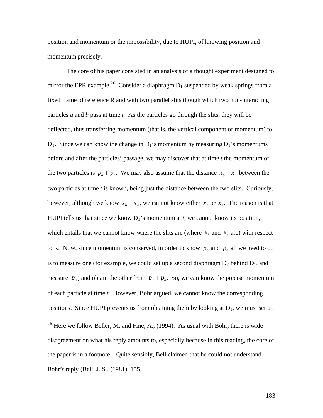position and momentum or the impossibility, due to HUPI, of knowing position and momentum precisely.

The core of his paper consisted in an analysis of a thought experiment designed to mirror the EPR example.<sup>26</sup> Consider a diaphragm  $D_1$  suspended by weak springs from a fixed frame of reference R and with two parallel slits though which two non-interacting particles *a* and *b* pass at time *t*. As the particles go through the slits, they will be deflected, thus transferring momentum (that is, the vertical component of momentum) to  $D_1$ . Since we can know the change in  $D_1$ 's momentum by measuring  $D_1$ 's momentums before and after the particles' passage, we may discover that at time *t* the momentum of the two particles is  $p_a + p_b$ . We may also assume that the distance  $x_b - x_a$  between the however, although we know  $x_b - x_a$ , we cannot know either  $x_b$  or  $x_a$ . The reason is that two particles at time *t* is known, being just the distance between the two slits. Curiously, which entails that we cannot know where the slits are (where  $x_b$  and  $x_a$  are) with respect HUPI tells us that since we know  $D_1$ 's momentum at *t*, we cannot know its position, is to measure one (for example, we could set up a second diaphragm  $D_2$  behind  $D_1$ , and to R. Now, since momentum is conserved, in order to know  $p_a$  and  $p_b$  all we need to do measure  $p_a$ ) and obtain the other from  $p_a + p_b$ . So, we can know the precise momentum positions. Since HUPI prevents us from obtaining them by looking at  $D_1$ , we must set up of each particle at time *t*. However, Bohr argued, we cannot know the corresponding

 $\overline{a}$ 

<sup>&</sup>lt;sup>26</sup> Here we follow Beller, M. and Fine, A., (1994). As usual with Bohr, there is wide disagreement on what his reply amounts to, especially because in this reading, the core of the paper is in a footnote. Quite sensibly, Bell claimed that he could not understand Bohr's reply (Bell, J. S., (1981): 155.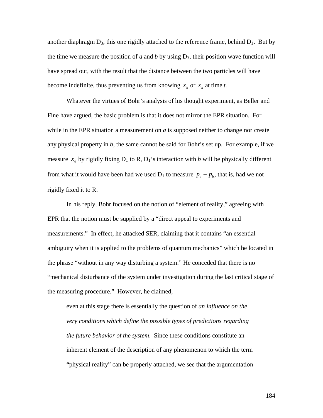another diaphragm  $D_3$ , this one rigidly attached to the reference frame, behind  $D_1$ . But by the time we measure the position of *a* and *b* by using  $D_3$ , their position wave function will have spread out, with the result that the distance between the two particles will have become indefinite, thus preventing us from knowing  $x_b$  or  $x_a$  at time *t*.

Fine have argued, the basic problem is that it does not mirror the EPR situation. For Whatever the virtues of Bohr's analysis of his thought experiment, as Beller and while in the EPR situation a measurement on *a* is supposed neither to change nor create any physical property in *b*, the same cannot be said for Bohr's set up. For example, if we measure  $x_a$  by rigidly fixing  $D_1$  to R,  $D_1$ 's interaction with *b* will be physically different rigidly fixed it to R. from what it would have been had we used  $D_1$  to measure  $p_a + p_b$ , that is, had we not

In his reply, Bohr focused on the notion of "element of reality," agreeing with EPR that the notion must be supplied by a "direct appeal to experiments and measurements." In effect, he attacked SER, claiming that it contains "an essential ambiguity when it is applied to the problems of quantum mechanics" which he located in the phrase "without in any way disturbing a system." He conceded that there is no "mechanical disturbance of the system under investigation during the last critical stage of the measuring procedure." However, he claimed,

even at this stage there is essentially the question of *an influence on the very conditions which define the possible types of predictions regarding the future behavior of the system*. Since these conditions constitute an inherent element of the description of any phenomenon to which the term "physical reality" can be properly attached, we see that the argumentation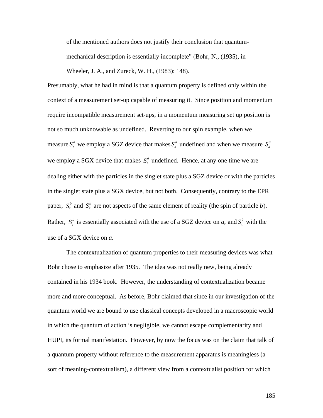of the mentioned authors does not justify their conclusion that quantummechanical description is essentially incomplete" (Bohr, N., (1935), in

Wheeler, J. A., and Zureck, W. H., (1983): 148).

Presumably, what he had in mind is that a quantum property is defined only within the context of a measurement set-up capable of measuring it. Since position and momentum require incompatible measurement set-ups, in a momentum measuring set up position is not so much unknowable as undefined. Reverting to our spin example, when we measure  $S_z^a$  we employ a SGZ device that makes  $S_x^a$  undefined and when we measure  $S_x^a$ we employ a SGX device that makes  $S^a_\text{z}$  undefined. Hence, at any one time we are dealing either with the particles in the singlet state plus a SGZ device or with the particles in the singlet state plus a SGX device, but not both. Consequently, contrary to the EPR paper,  $S_z^b$  and  $S_x^b$  are not aspects of the same element of reality (the spin of particle *b*). Rather,  $S_z^b$  is essentially associated with the use of a SGZ device on *a*, and  $S_x^b$  with the use of a SGX device on *a*.

The contextualization of quantum properties to their measuring devices was what Bohr chose to emphasize after 1935. The idea was not really new, being already contained in his 1934 book. However, the understanding of contextualization became more and more conceptual. As before, Bohr claimed that since in our investigation of the quantum world we are bound to use classical concepts developed in a macroscopic world in which the quantum of action is negligible, we cannot escape complementarity and HUPI, its formal manifestation. However, by now the focus was on the claim that talk of a quantum property without reference to the measurement apparatus is meaningless (a sort of meaning-contextualism), a different view from a contextualist position for which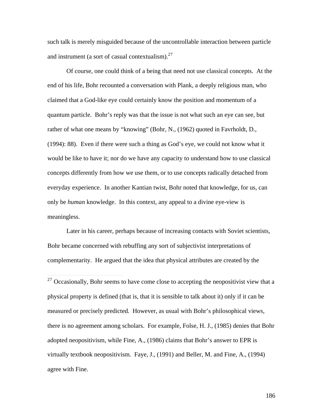such talk is merely misguided because of the uncontrollable interaction between particle and instrument (a sort of casual contextualism). $27$ 

Of course, one could think of a being that need not use classical concepts. At the end of his life, Bohr recounted a conversation with Plank, a deeply religious man, who claimed that a God-like eye could certainly know the position and momentum of a quantum particle. Bohr's reply was that the issue is not what such an eye can see, but rather of what one means by "knowing" (Bohr, N., (1962) quoted in Favrholdt, D., (1994): 88). Even if there were such a thing as God's eye, we could not know what it would be like to have it; nor do we have any capacity to understand how to use classical concepts differently from how we use them, or to use concepts radically detached from everyday experience. In another Kantian twist, Bohr noted that knowledge, for us, can only be *human* knowledge. In this context, any appeal to a divine eye-view is meaningless.

Later in his career, perhaps because of increasing contacts with Soviet scientists, Bohr became concerned with rebuffing any sort of subjectivist interpretations of complementarity. He argued that the idea that physical attributes are created by the

 $\overline{a}$ 

 $27$  Occasionally, Bohr seems to have come close to accepting the neopositivist view that a physical property is defined (that is, that it is sensible to talk about it) only if it can be measured or precisely predicted. However, as usual with Bohr's philosophical views, there is no agreement among scholars. For example, Folse, H. J., (1985) denies that Bohr adopted neopositivism, while Fine, A., (1986) claims that Bohr's answer to EPR is virtually textbook neopositivism. Faye, J., (1991) and Beller, M. and Fine, A., (1994) agree with Fine.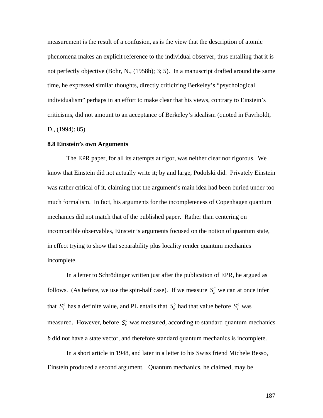measurement is the result of a confusion, as is the view that the description of atomic phenomena makes an explicit reference to the individual observer, thus entailing that it is not perfectly objective (Bohr, N., (1958b); 3; 5). In a manuscript drafted around the same time, he expressed similar thoughts, directly criticizing Berkeley's "psychological individualism" perhaps in an effort to make clear that his views, contrary to Einstein's criticisms, did not amount to an acceptance of Berkeley's idealism (quoted in Favrholdt, D., (1994): 85).

# **8.8 Einstein's own Arguments**

The EPR paper, for all its attempts at rigor, was neither clear nor rigorous. We know that Einstein did not actually write it; by and large, Podolski did. Privately Einstein was rather critical of it, claiming that the argument's main idea had been buried under too much formalism. In fact, his arguments for the incompleteness of Copenhagen quantum mechanics did not match that of the published paper. Rather than centering on incompatible observables, Einstein's arguments focused on the notion of quantum state, in effect trying to show that separability plus locality render quantum mechanics incomplete.

In a letter to Schrödinger written just after the publication of EPR, he argued as follows. (As before, we use the spin-half case). If we measure  $S^a_z$  we can at once infer measured. However, before  $S_z^a$  was measured, according to standard quantum mechanics that  $S_z^b$  has a definite value, and PL entails that  $S_z^b$  had that value before  $S_z^a$  was  $\overline{t}$ *b* did not have a state vector, and therefore standard quantum mechanics is incomplete.

In a short article in 1948, and later in a letter to his Swiss friend Michele Besso, Einstein produced a second argument. Quantum mechanics, he claimed, may be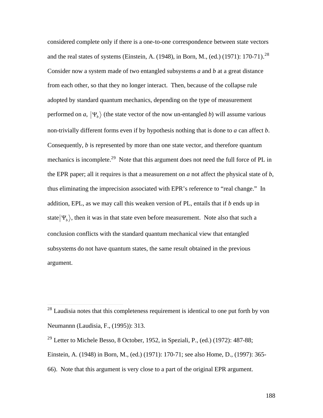considered complete only if there is a one-to-one correspondence between state vectors and the real states of systems (Einstein, A. (1948), in Born, M., (ed.) (1971): 170-71).<sup>28</sup> Consider now a system made of two entangled subsystems *a* and *b* at a great distance from each other, so that they no longer interact. Then, because of the collapse rule adopted by standard quantum mechanics, depending on the type of measurement performed on *a*,  $|\Psi_b\rangle$  (the state vector of the now un-entangled *b*) will assume various Consequently, *b* is represented by more than one state vector, and therefore quantum non-trivially different forms even if by hypothesis nothing that is done to *a* can affect *b*. mechanics is incomplete.<sup>29</sup> Note that this argument does not need the full force of PL in the EPR paper; all it requires is that a measurement on *a* not affect the physical state of *b*, thus eliminating the imprecision associated with EPR's reference to "real change." In addition, EPL, as we may call this weaken version of PL, entails that if *b* ends up in state  $|\Psi_{\nu}\rangle$ , then it was in that state even before measurement. Note also that such a  $\mathbf{r}$ conclusion conflicts with the standard quantum mechanical view that entangled subsystems do not have quantum states, the same result obtained in the previous argument.

 $\overline{a}$ 

<sup>&</sup>lt;sup>28</sup> Laudisia notes that this completeness requirement is identical to one put forth by von Neumannn (Laudisia, F., (1995)): 313.

<sup>&</sup>lt;sup>29</sup> Letter to Michele Besso, 8 October, 1952, in Speziali, P., (ed.) (1972): 487-88; Einstein, A. (1948) in Born, M., (ed.) (1971): 170-71; see also Home, D., (1997): 365- 66). Note that this argument is very close to a part of the original EPR argument.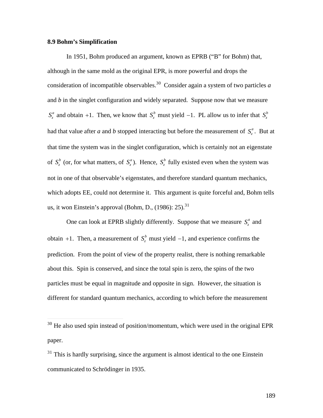# **8.9 Bohm's Simplification**

 $\overline{a}$ 

In 1951, Bohm produced an argument, known as EPRB ("B" for Bohm) that, although in the same mold as the original EPR, is more powerful and drops the consideration of incompatible observables.<sup>30</sup> Consider again a system of two particles *a*  and *b* in the singlet configuration and widely separated. Suppose now that we measure  $S_z^a$  and obtain +1. Then, we know that  $S_z^b$  must yield -1. PL allow us to infer that  $S_z^b$ had that value after *a* and *b* stopped interacting but before the measurement of  $S^a_z$ . But at that time the system was in the singlet configuration, which is certainly not an eigenstate of  $S_z^b$  (or, for what matters, of  $S_z^a$ ). Hence,  $S_z^b$  fully existed even when the system was not in one of that observable's eigenstates, and therefore standard quantum mechanics, which adopts EE, could not determine it. This argument is quite forceful and, Bohm tells us, it won Einstein's approval (Bohm, D.,  $(1986)$ : 25).<sup>31</sup>

One can look at EPRB slightly differently. Suppose that we measure  $S_z^a$  and obtain  $+1$ . Then, a measurement of  $S_z^b$  must yield  $-1$ , and experience confirms the  $\mathbf{r}$  the set of  $\mathbf{r}$  the set of  $\mathbf{r}$  the set of  $\mathbf{r}$ prediction. From the point of view of the property realist, there is nothing remarkable about this. Spin is conserved, and since the total spin is zero, the spins of the two particles must be equal in magnitude and opposite in sign. However, the situation is different for standard quantum mechanics, according to which before the measurement

<sup>.&</sup>lt;br>ح  $30$  He also used spin instead of position/momentum, which were used in the original EPR paper.

 $31$  This is hardly surprising, since the argument is almost identical to the one Einstein communicated to Schrödinger in 1935.